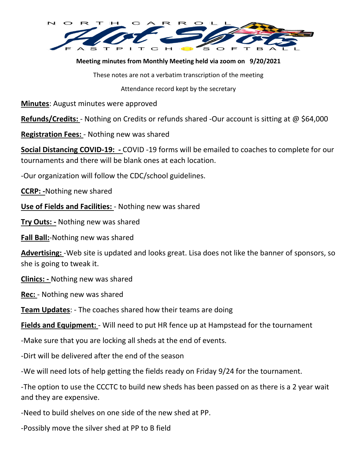

**Meeting minutes from Monthly Meeting held via zoom on 9/20/2021**

These notes are not a verbatim transcription of the meeting

Attendance record kept by the secretary

**Minutes**: August minutes were approved

**Refunds/Credits:** - Nothing on Credits or refunds shared -Our account is sitting at @ \$64,000

**Registration Fees:** - Nothing new was shared

**Social Distancing COVID-19: -** COVID -19 forms will be emailed to coaches to complete for our tournaments and there will be blank ones at each location.

-Our organization will follow the CDC/school guidelines.

**CCRP: -**Nothing new shared

**Use of Fields and Facilities:** - Nothing new was shared

**Try Outs: -** Nothing new was shared

**Fall Ball:**-Nothing new was shared

**Advertising:** -Web site is updated and looks great. Lisa does not like the banner of sponsors, so she is going to tweak it.

**Clinics: -** Nothing new was shared

**Rec:** - Nothing new was shared

**Team Updates**: - The coaches shared how their teams are doing

**Fields and Equipment:** - Will need to put HR fence up at Hampstead for the tournament

-Make sure that you are locking all sheds at the end of events.

-Dirt will be delivered after the end of the season

-We will need lots of help getting the fields ready on Friday 9/24 for the tournament.

-The option to use the CCCTC to build new sheds has been passed on as there is a 2 year wait and they are expensive.

-Need to build shelves on one side of the new shed at PP.

-Possibly move the silver shed at PP to B field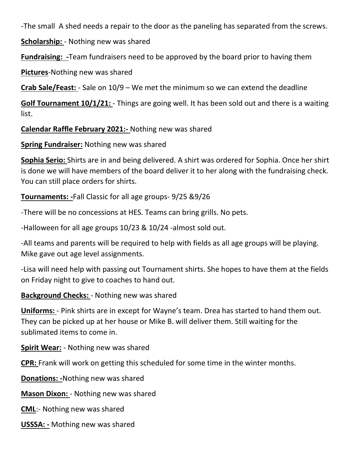-The small A shed needs a repair to the door as the paneling has separated from the screws.

**Scholarship:** - Nothing new was shared

**Fundraising: -**Team fundraisers need to be approved by the board prior to having them

**Pictures**-Nothing new was shared

**Crab Sale/Feast:** - Sale on 10/9 – We met the minimum so we can extend the deadline

**Golf Tournament 10/1/21:** - Things are going well. It has been sold out and there is a waiting list.

**Calendar Raffle February 2021:-** Nothing new was shared

**Spring Fundraiser:** Nothing new was shared

**Sophia Serio:** Shirts are in and being delivered. A shirt was ordered for Sophia. Once her shirt is done we will have members of the board deliver it to her along with the fundraising check. You can still place orders for shirts.

**Tournaments: -**Fall Classic for all age groups- 9/25 &9/26

-There will be no concessions at HES. Teams can bring grills. No pets.

-Halloween for all age groups 10/23 & 10/24 -almost sold out.

-All teams and parents will be required to help with fields as all age groups will be playing. Mike gave out age level assignments.

-Lisa will need help with passing out Tournament shirts. She hopes to have them at the fields on Friday night to give to coaches to hand out.

**Background Checks:** - Nothing new was shared

**Uniforms:** - Pink shirts are in except for Wayne's team. Drea has started to hand them out. They can be picked up at her house or Mike B. will deliver them. Still waiting for the sublimated items to come in.

**Spirit Wear:** - Nothing new was shared

**CPR:** Frank will work on getting this scheduled for some time in the winter months.

**Donations: -**Nothing new was shared

**Mason Dixon:** - Nothing new was shared

**CML**:- Nothing new was shared

**USSSA: -** Mothing new was shared